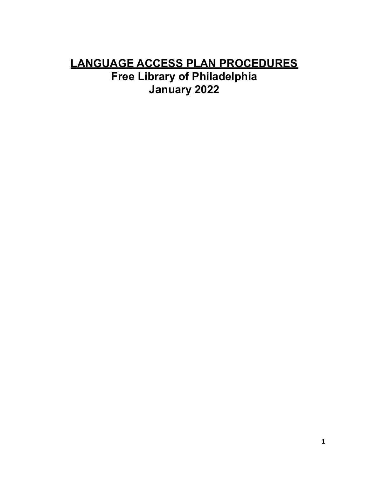# **LANGUAGE ACCESS PLAN PROCEDURES Free Library of Philadelphia January 2022**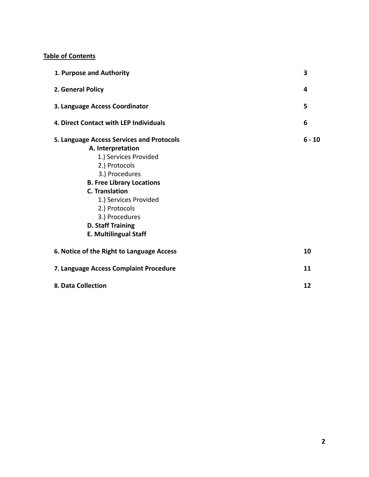#### **Table of Contents**

| 1. Purpose and Authority                                                                                                                                                                                                                                                                                        | 3        |
|-----------------------------------------------------------------------------------------------------------------------------------------------------------------------------------------------------------------------------------------------------------------------------------------------------------------|----------|
| 2. General Policy                                                                                                                                                                                                                                                                                               | 4        |
| 3. Language Access Coordinator                                                                                                                                                                                                                                                                                  | 5        |
| 4. Direct Contact with LEP Individuals                                                                                                                                                                                                                                                                          | 6        |
| 5. Language Access Services and Protocols<br>A. Interpretation<br>1.) Services Provided<br>2.) Protocols<br>3.) Procedures<br><b>B. Free Library Locations</b><br><b>C. Translation</b><br>1.) Services Provided<br>2.) Protocols<br>3.) Procedures<br><b>D. Staff Training</b><br><b>E. Multilingual Staff</b> | $6 - 10$ |
| 6. Notice of the Right to Language Access                                                                                                                                                                                                                                                                       | 10       |
| 7. Language Access Complaint Procedure                                                                                                                                                                                                                                                                          | 11       |
| 8. Data Collection                                                                                                                                                                                                                                                                                              | 12       |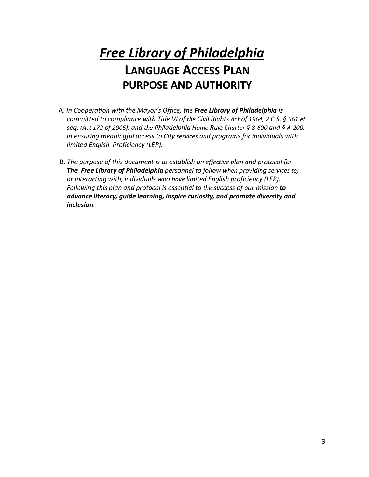# *Free Library of Philadelphia* **LANGUAGE ACCESS PLAN PURPOSE AND AUTHORITY**

- A. *In Cooperation with the Mayor's Office, the Free Library of Philadelphia is committed to compliance with Title VI of the Civil Rights Act of 1964, 2 C.S. § 561 et seq. (Act 172 of 2006), and the Philadelphia Home Rule Charter § 8-600 and § A-200, in ensuring meaningful access to City services and programs for individuals with limited English Proficiency (LEP).*
- B. *The purpose of this document is to establish an effective plan and protocol for The Free Library of Philadelphia personnel to follow when providing services to, or interacting with, individuals who have limited English proficiency (LEP). Following this plan and protocol is essential to the success of our mission to advance literacy, guide learning, inspire curiosity, and promote diversity and inclusion.*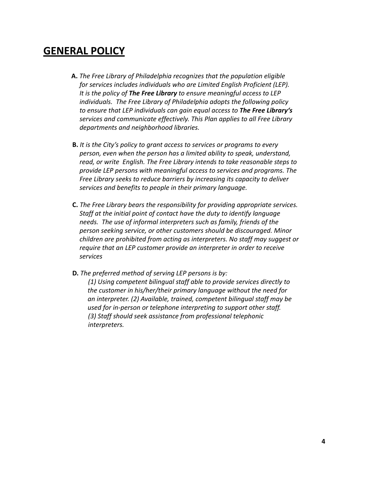# **GENERAL POLICY**

- **A.** *The Free Library of Philadelphia recognizes that the population eligible for services includes individuals who are Limited English Proficient (LEP). It is the policy of The Free Library to ensure meaningful access to LEP individuals. The Free Library of Philadelphia adopts the following policy to ensure that LEP individuals can gain equal access to The Free Library's services and communicate effectively. This Plan applies to all Free Library departments and neighborhood libraries.*
- **B.** *It is the City's policy to grant access to services or programs to every person, even when the person has a limited ability to speak, understand, read, or write English. The Free Library intends to take reasonable steps to provide LEP persons with meaningful access to services and programs. The Free Library seeks to reduce barriers by increasing its capacity to deliver services and benefits to people in their primary language.*
- **C.** *The Free Library bears the responsibility for providing appropriate services. Staff at the initial point of contact have the duty to identify language needs. The use of informal interpreters such as family, friends of the person seeking service, or other customers should be discouraged. Minor children are prohibited from acting as interpreters. No staff may suggest or require that an LEP customer provide an interpreter in order to receive services*
- **D.** *The preferred method of serving LEP persons is by: (1) Using competent bilingual staff able to provide services directly to the customer in his/her/their primary language without the need for an interpreter. (2) Available, trained, competent bilingual staff may be used for in-person or telephone interpreting to support other staff. (3) Staff should seek assistance from professional telephonic interpreters.*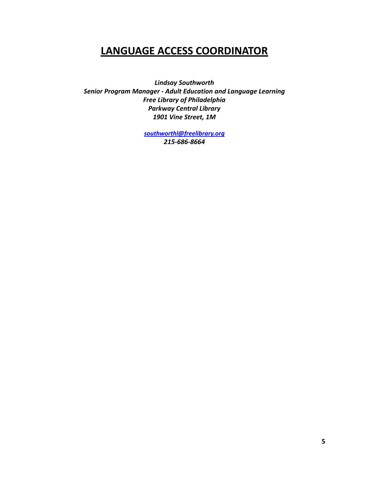# **LANGUAGE ACCESS COORDINATOR**

*Lindsay Southworth Senior Program Manager - Adult Education and Language Learning Free Library of Philadelphia Parkway Central Library 1901 Vine Street, 1M*

> *southworthl@freelibrary.org 215-686-8664*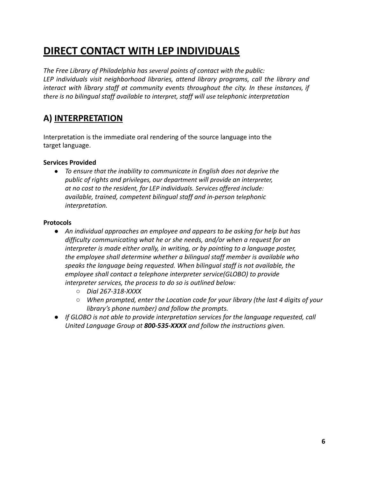# **DIRECT CONTACT WITH LEP INDIVIDUALS**

*The Free Library of Philadelphia has several points of contact with the public: LEP individuals visit neighborhood libraries, attend library programs, call the library and interact with library staff at community events throughout the city. In these instances, if there is no bilingual staff available to interpret, staff will use telephonic interpretation*

# **A) INTERPRETATION**

Interpretation is the immediate oral rendering of the source language into the target language.

#### **Services Provided**

• To ensure that the inability to communicate in English does not deprive the *public of rights and privileges, our department will provide an interpreter,* at no cost to the resident, for LEP individuals. Services offered include: *available, trained, competent bilingual staff and in-person telephonic interpretation.*

#### **Protocols**

- *● An individual approaches an employee and appears to be asking for help but has difficulty communicating what he or she needs, and/or when a request for an interpreter is made either orally, in writing, or by pointing to a language poster, the employee shall determine whether a bilingual staff member is available who speaks the language being requested. When bilingual staff is not available, the employee shall contact a telephone interpreter service(GLOBO) to provide interpreter services, the process to do so is outlined below:*
	- *○ Dial 267-318-XXXX*
	- *○ When prompted, enter the Location code for your library (the last 4 digits of your library's phone number) and follow the prompts.*
- *● If GLOBO is not able to provide interpretation services for the language requested, call United Language Group at 800-535-XXXX and follow the instructions given.*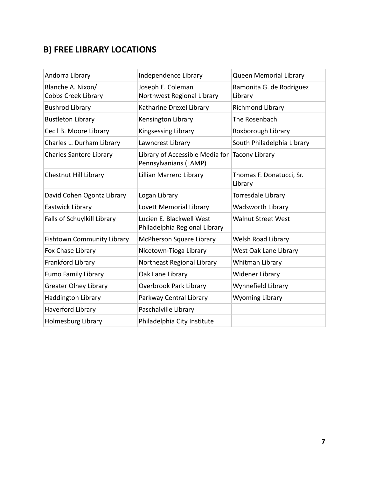# **B) FREE LIBRARY LOCATIONS**

| Andorra Library                                 | Independence Library                                      | <b>Queen Memorial Library</b>       |
|-------------------------------------------------|-----------------------------------------------------------|-------------------------------------|
| Blanche A. Nixon/<br><b>Cobbs Creek Library</b> | Joseph E. Coleman<br>Northwest Regional Library           | Ramonita G. de Rodriguez<br>Library |
| <b>Bushrod Library</b>                          | Katharine Drexel Library                                  | <b>Richmond Library</b>             |
| <b>Bustleton Library</b>                        | Kensington Library                                        | The Rosenbach                       |
| Cecil B. Moore Library                          | Kingsessing Library                                       | Roxborough Library                  |
| Charles L. Durham Library                       | Lawncrest Library                                         | South Philadelphia Library          |
| <b>Charles Santore Library</b>                  | Library of Accessible Media for<br>Pennsylvanians (LAMP)  | <b>Tacony Library</b>               |
| Chestnut Hill Library                           | Lillian Marrero Library                                   | Thomas F. Donatucci, Sr.<br>Library |
| David Cohen Ogontz Library                      | Logan Library                                             | Torresdale Library                  |
| Eastwick Library                                | Lovett Memorial Library                                   | <b>Wadsworth Library</b>            |
| Falls of Schuylkill Library                     | Lucien E. Blackwell West<br>Philadelphia Regional Library | <b>Walnut Street West</b>           |
| <b>Fishtown Community Library</b>               | McPherson Square Library                                  | Welsh Road Library                  |
| Fox Chase Library                               | Nicetown-Tioga Library                                    | West Oak Lane Library               |
| Frankford Library                               | Northeast Regional Library                                | Whitman Library                     |
| <b>Fumo Family Library</b>                      | Oak Lane Library                                          | <b>Widener Library</b>              |
| <b>Greater Olney Library</b>                    | <b>Overbrook Park Library</b>                             | Wynnefield Library                  |
| <b>Haddington Library</b>                       | Parkway Central Library                                   | <b>Wyoming Library</b>              |
| Haverford Library                               | Paschalville Library                                      |                                     |
| Holmesburg Library                              | Philadelphia City Institute                               |                                     |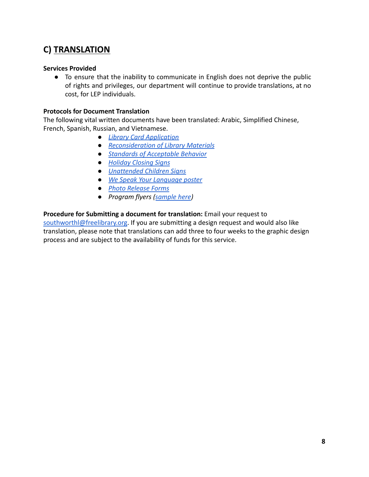### **C) TRANSLATION**

#### **Services Provided**

● To ensure that the inability to communicate in English does not deprive the public of rights and privileges, our department will continue to provide translations, at no cost, for LEP individuals.

#### **Protocols for Document Translation**

The following vital written documents have been translated: Arabic, Simplified Chinese, French, Spanish, Russian, and Vietnamese.

- *● [Library Card Application](https://catalog.freelibrary.org/MyResearch/register/mail)*
- *● [Reconsideration of Library Materials](https://libwww.freelibrary.org/about/material-selection/)*
- *● [Standards of Acceptable Behavior](https://libwww.freelibrary.org/about/standards-of-behavior/)*
- *● [Holiday Closing Signs](https://docs.google.com/document/d/1M_pcZLEFC74qtSWPWm-JucpOjajQV5CD/edit?usp=sharing&ouid=103693898566962663722&rtpof=true&sd=true)*
- *● [Unattended Children Signs](https://drive.google.com/file/d/1P67akBRxPheYCWmz_JNC5KVwB7mF9KK5/view?usp=sharing)*
- *● [We Speak Your Language poster](https://drive.google.com/file/d/1YZUaE2p_Wm-x27Z6Dk_MyST2xF3kcjJk/view?usp=sharing)*
- *● [Photo Release Forms](https://drive.google.com/drive/folders/1aKEtOeI62md3YZ6QYj_Vy1ufkqdsEE1G?usp=sharing)*
- *● Program flyers ([sample here](https://drive.google.com/file/d/1T1CXU_At_4LC_hFFKsJ8VA4SOopByUNq/view?usp=sharing))*

#### **Procedure for Submitting a document for translation:** Email your request to

[southworthl@freelibrary.org](mailto:southworthl@freelibrary.org). If you are submitting a design request and would also like translation, please note that translations can add three to four weeks to the graphic design process and are subject to the availability of funds for this service.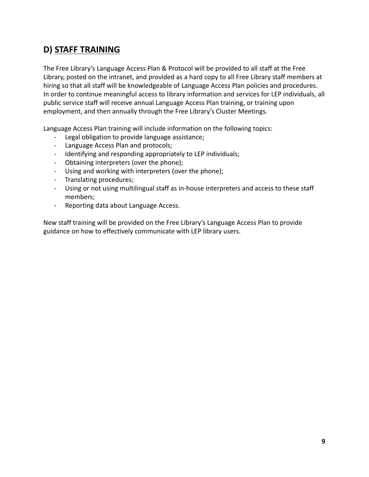## **D) STAFF TRAINING**

The Free Library's Language Access Plan & Protocol will be provided to all staff at the Free Library, posted on the intranet, and provided as a hard copy to all Free Library staff members at hiring so that all staff will be knowledgeable of Language Access Plan policies and procedures. In order to continue meaningful access to library information and services for LEP individuals, all public service staff will receive annual Language Access Plan training, or training upon employment, and then annually through the Free Library's Cluster Meetings.

Language Access Plan training will include information on the following topics:

- Legal obligation to provide language assistance;
- Language Access Plan and protocols;
- Identifying and responding appropriately to LEP individuals;
- Obtaining interpreters (over the phone);
- Using and working with interpreters (over the phone);
- Translating procedures;
- Using or not using multilingual staff as in-house interpreters and access to these staff members;
- Reporting data about Language Access.

New staff training will be provided on the Free Library's Language Access Plan to provide guidance on how to effectively communicate with LEP library users.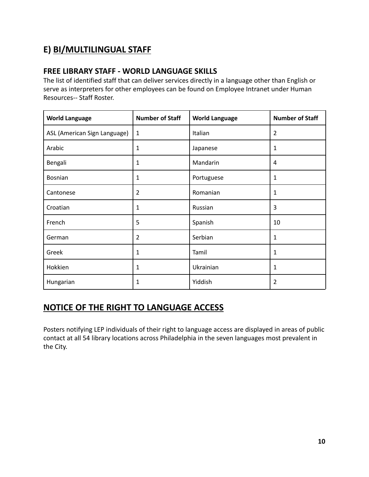## **E) BI/MULTILINGUAL STAFF**

#### **FREE LIBRARY STAFF - WORLD LANGUAGE SKILLS**

The list of identified staff that can deliver services directly in a language other than English or serve as interpreters for other employees can be found on Employee Intranet under Human Resources-- Staff Roster.

| <b>World Language</b>        | <b>Number of Staff</b> | <b>World Language</b> | <b>Number of Staff</b> |
|------------------------------|------------------------|-----------------------|------------------------|
| ASL (American Sign Language) | $\mathbf{1}$           | Italian               | 2                      |
| Arabic                       | 1                      | Japanese              | 1                      |
| Bengali                      | 1                      | Mandarin              | 4                      |
| Bosnian                      | 1                      | Portuguese            | 1                      |
| Cantonese                    | 2                      | Romanian              | 1                      |
| Croatian                     | 1                      | Russian               | 3                      |
| French                       | 5                      | Spanish               | 10                     |
| German                       | $\overline{2}$         | Serbian               | 1                      |
| Greek                        | 1                      | Tamil                 | 1                      |
| Hokkien                      | 1                      | Ukrainian             | 1                      |
| Hungarian                    | 1                      | Yiddish               | 2                      |

### **NOTICE OF THE RIGHT TO LANGUAGE ACCESS**

Posters notifying LEP individuals of their right to language access are displayed in areas of public contact at all 54 library locations across Philadelphia in the seven languages most prevalent in the City.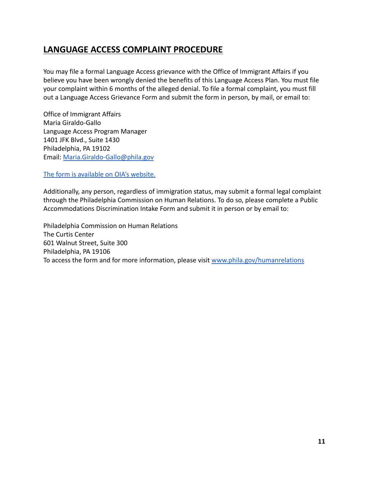### **LANGUAGE ACCESS COMPLAINT PROCEDURE**

You may file a formal Language Access grievance with the Office of Immigrant Affairs if you believe you have been wrongly denied the benefits of this Language Access Plan. You must file your complaint within 6 months of the alleged denial. To file a formal complaint, you must fill out a Language Access Grievance Form and submit the form in person, by mail, or email to:

Office of Immigrant Affairs Maria Giraldo-Gallo Language Access Program Manager 1401 JFK Blvd., Suite 1430 Philadelphia, PA 19102 Email: [Maria.Giraldo-Gallo@phila.gov](mailto:Maria.Giraldo-Gallo@phila.gov)

[The form is available on OIA's website.](https://www.phila.gov/programs/language-access-philly/language-access-grievance-form/)

Additionally, any person, regardless of immigration status, may submit a formal legal complaint through the Philadelphia Commission on Human Relations. To do so, please complete a Public Accommodations Discrimination Intake Form and submit it in person or by email to:

Philadelphia Commission on Human Relations The Curtis Center 601 Walnut Street, Suite 300 Philadelphia, PA 19106 To access the form and for more information, please visit [www.phila.gov/humanrelations](http://www.phila.gov/humanrelations)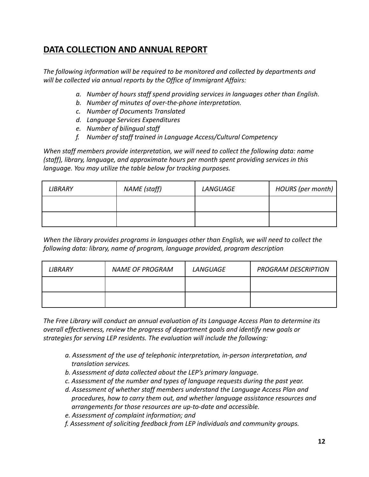### **DATA COLLECTION AND ANNUAL REPORT**

*The following information will be required to be monitored and collected by departments and will be collected via annual reports by the Office of Immigrant Affairs:*

- *a. Number of hours staff spend providing services in languages other than English.*
- *b. Number of minutes of over-the-phone interpretation.*
- *c. Number of Documents Translated*
- *d. Language Services Expenditures*
- *e. Number of bilingual staff*
- *f. Number of staff trained in Language Access/Cultural Competency*

*When staff members provide interpretation, we will need to collect the following data: name (staff), library, language, and approximate hours per month spent providing services in this language. You may utilize the table below for tracking purposes.*

| LIBRARY | NAME (staff) | LANGUAGE | HOURS (per month) |
|---------|--------------|----------|-------------------|
|         |              |          |                   |
|         |              |          |                   |

*When the library provides programs in languages other than English, we will need to collect the following data: library, name of program, language provided, program description*

| <b>LIBRARY</b> | <b>NAME OF PROGRAM</b> | LANGUAGE | <b>PROGRAM DESCRIPTION</b> |
|----------------|------------------------|----------|----------------------------|
|                |                        |          |                            |
|                |                        |          |                            |

*The Free Library will conduct an annual evaluation of its Language Access Plan to determine its overall effectiveness, review the progress of department goals and identify new goals or strategies for serving LEP residents. The evaluation will include the following:*

- *a. Assessment of the use of telephonic interpretation, in-person interpretation, and translation services.*
- *b. Assessment of data collected about the LEP's primary language.*
- *c. Assessment of the number and types of language requests during the past year.*
- *d. Assessment of whether staff members understand the Language Access Plan and procedures, how to carry them out, and whether language assistance resources and arrangements for those resources are up-to-date and accessible.*
- *e. Assessment of complaint information; and*
- *f. Assessment of soliciting feedback from LEP individuals and community groups.*